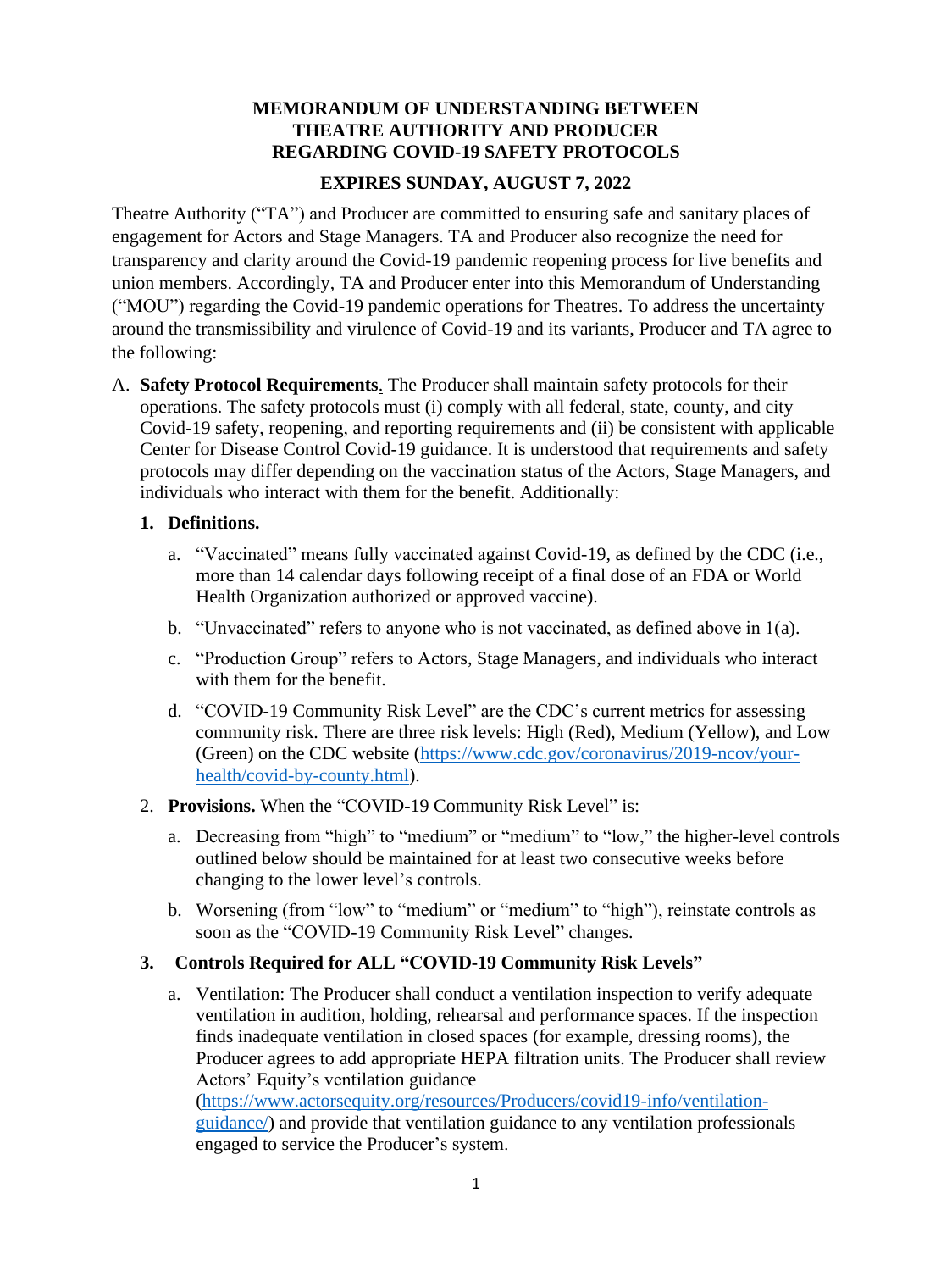# **MEMORANDUM OF UNDERSTANDING BETWEEN THEATRE AUTHORITY AND PRODUCER REGARDING COVID-19 SAFETY PROTOCOLS**

# **EXPIRES SUNDAY, AUGUST 7, 2022**

Theatre Authority ("TA") and Producer are committed to ensuring safe and sanitary places of engagement for Actors and Stage Managers. TA and Producer also recognize the need for transparency and clarity around the Covid-19 pandemic reopening process for live benefits and union members. Accordingly, TA and Producer enter into this Memorandum of Understanding ("MOU") regarding the Covid-19 pandemic operations for Theatres. To address the uncertainty around the transmissibility and virulence of Covid-19 and its variants, Producer and TA agree to the following:

A. **Safety Protocol Requirements**. The Producer shall maintain safety protocols for their operations. The safety protocols must (i) comply with all federal, state, county, and city Covid-19 safety, reopening, and reporting requirements and (ii) be consistent with applicable Center for Disease Control Covid-19 guidance. It is understood that requirements and safety protocols may differ depending on the vaccination status of the Actors, Stage Managers, and individuals who interact with them for the benefit. Additionally:

# **1. Definitions.**

- a. "Vaccinated" means fully vaccinated against Covid-19, as defined by the CDC (i.e., more than 14 calendar days following receipt of a final dose of an FDA or World Health Organization authorized or approved vaccine).
- b. "Unvaccinated" refers to anyone who is not vaccinated, as defined above in  $1(a)$ .
- c. "Production Group" refers to Actors, Stage Managers, and individuals who interact with them for the benefit.
- d. "COVID-19 Community Risk Level" are the CDC's current metrics for assessing community risk. There are three risk levels: High (Red), Medium (Yellow), and Low (Green) on the CDC website [\(https://www.cdc.gov/coronavirus/2019-ncov/your](https://www.cdc.gov/coronavirus/2019-ncov/your-health/covid-by-county.html)[health/covid-by-county.html\)](https://www.cdc.gov/coronavirus/2019-ncov/your-health/covid-by-county.html).
- 2. **Provisions.** When the "COVID-19 Community Risk Level" is:
	- a. Decreasing from "high" to "medium" or "medium" to "low," the higher-level controls outlined below should be maintained for at least two consecutive weeks before changing to the lower level's controls.
	- b. Worsening (from "low" to "medium" or "medium" to "high"), reinstate controls as soon as the "COVID-19 Community Risk Level" changes.

# **3. Controls Required for ALL "COVID-19 Community Risk Levels"**

a. Ventilation: The Producer shall conduct a ventilation inspection to verify adequate ventilation in audition, holding, rehearsal and performance spaces. If the inspection finds inadequate ventilation in closed spaces (for example, dressing rooms), the Producer agrees to add appropriate HEPA filtration units. The Producer shall review Actors' Equity's ventilation guidance

[\(https://www.actorsequity.org/resources/Producers/covid19-info/ventilation](https://www.actorsequity.org/resources/Producers/covid19-info/ventilation-guidance/)[guidance/\)](https://www.actorsequity.org/resources/Producers/covid19-info/ventilation-guidance/) and provide that ventilation guidance to any ventilation professionals engaged to service the Producer's system.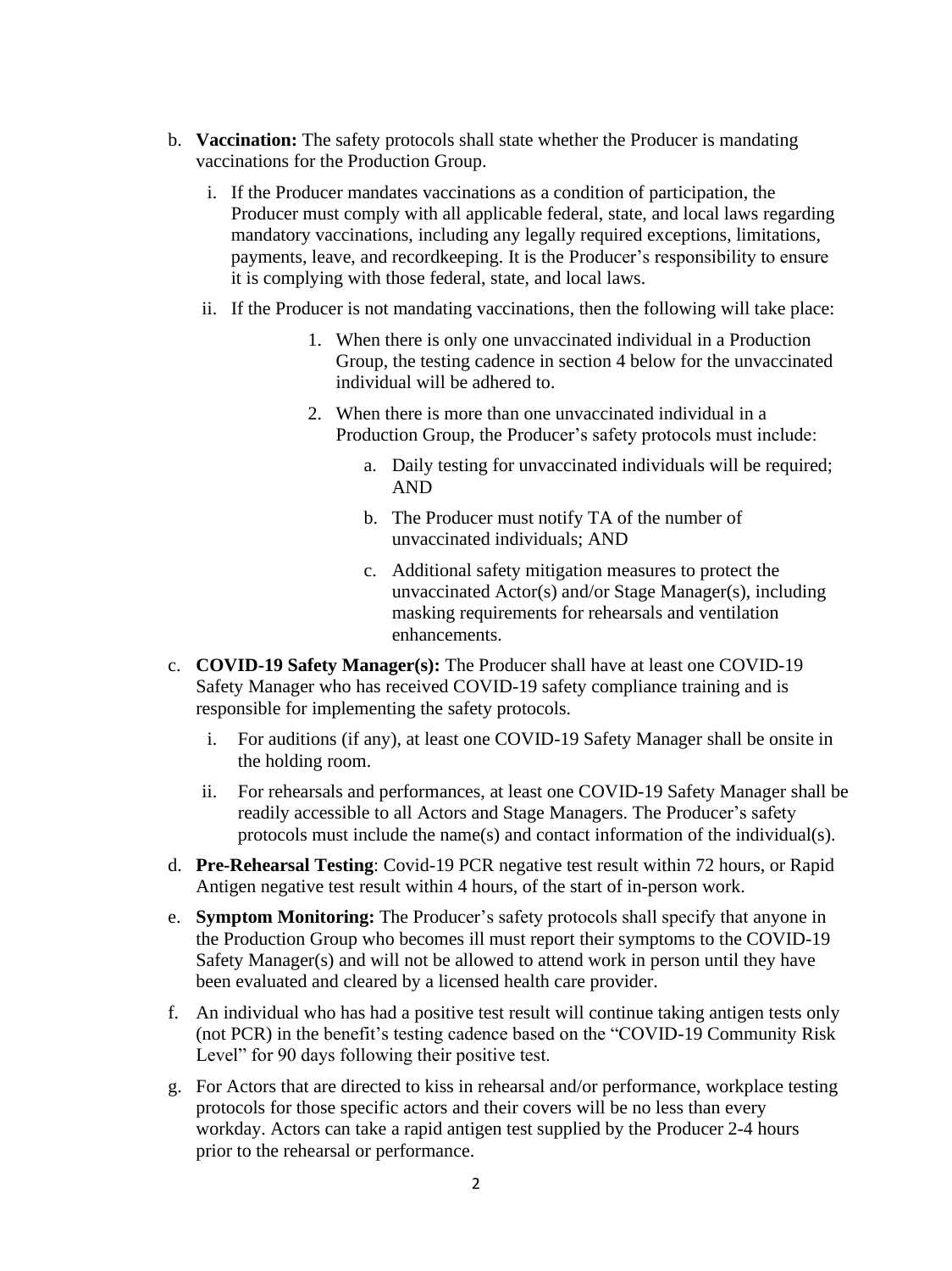- b. **Vaccination:** The safety protocols shall state whether the Producer is mandating vaccinations for the Production Group.
	- i. If the Producer mandates vaccinations as a condition of participation, the Producer must comply with all applicable federal, state, and local laws regarding mandatory vaccinations, including any legally required exceptions, limitations, payments, leave, and recordkeeping. It is the Producer's responsibility to ensure it is complying with those federal, state, and local laws.
	- ii. If the Producer is not mandating vaccinations, then the following will take place:
		- 1. When there is only one unvaccinated individual in a Production Group, the testing cadence in section 4 below for the unvaccinated individual will be adhered to.
		- 2. When there is more than one unvaccinated individual in a Production Group, the Producer's safety protocols must include:
			- a. Daily testing for unvaccinated individuals will be required; AND
			- b. The Producer must notify TA of the number of unvaccinated individuals; AND
			- c. Additional safety mitigation measures to protect the unvaccinated Actor(s) and/or Stage Manager(s), including masking requirements for rehearsals and ventilation enhancements.
- c. **COVID-19 Safety Manager(s):** The Producer shall have at least one COVID-19 Safety Manager who has received COVID-19 safety compliance training and is responsible for implementing the safety protocols.
	- i. For auditions (if any), at least one COVID-19 Safety Manager shall be onsite in the holding room.
	- ii. For rehearsals and performances, at least one COVID-19 Safety Manager shall be readily accessible to all Actors and Stage Managers. The Producer's safety protocols must include the name(s) and contact information of the individual(s).
- d. **Pre-Rehearsal Testing**: Covid-19 PCR negative test result within 72 hours, or Rapid Antigen negative test result within 4 hours, of the start of in-person work.
- e. **Symptom Monitoring:** The Producer's safety protocols shall specify that anyone in the Production Group who becomes ill must report their symptoms to the COVID-19 Safety Manager(s) and will not be allowed to attend work in person until they have been evaluated and cleared by a licensed health care provider.
- f. An individual who has had a positive test result will continue taking antigen tests only (not PCR) in the benefit's testing cadence based on the "COVID-19 Community Risk Level" for 90 days following their positive test.
- g. For Actors that are directed to kiss in rehearsal and/or performance, workplace testing protocols for those specific actors and their covers will be no less than every workday. Actors can take a rapid antigen test supplied by the Producer 2-4 hours prior to the rehearsal or performance.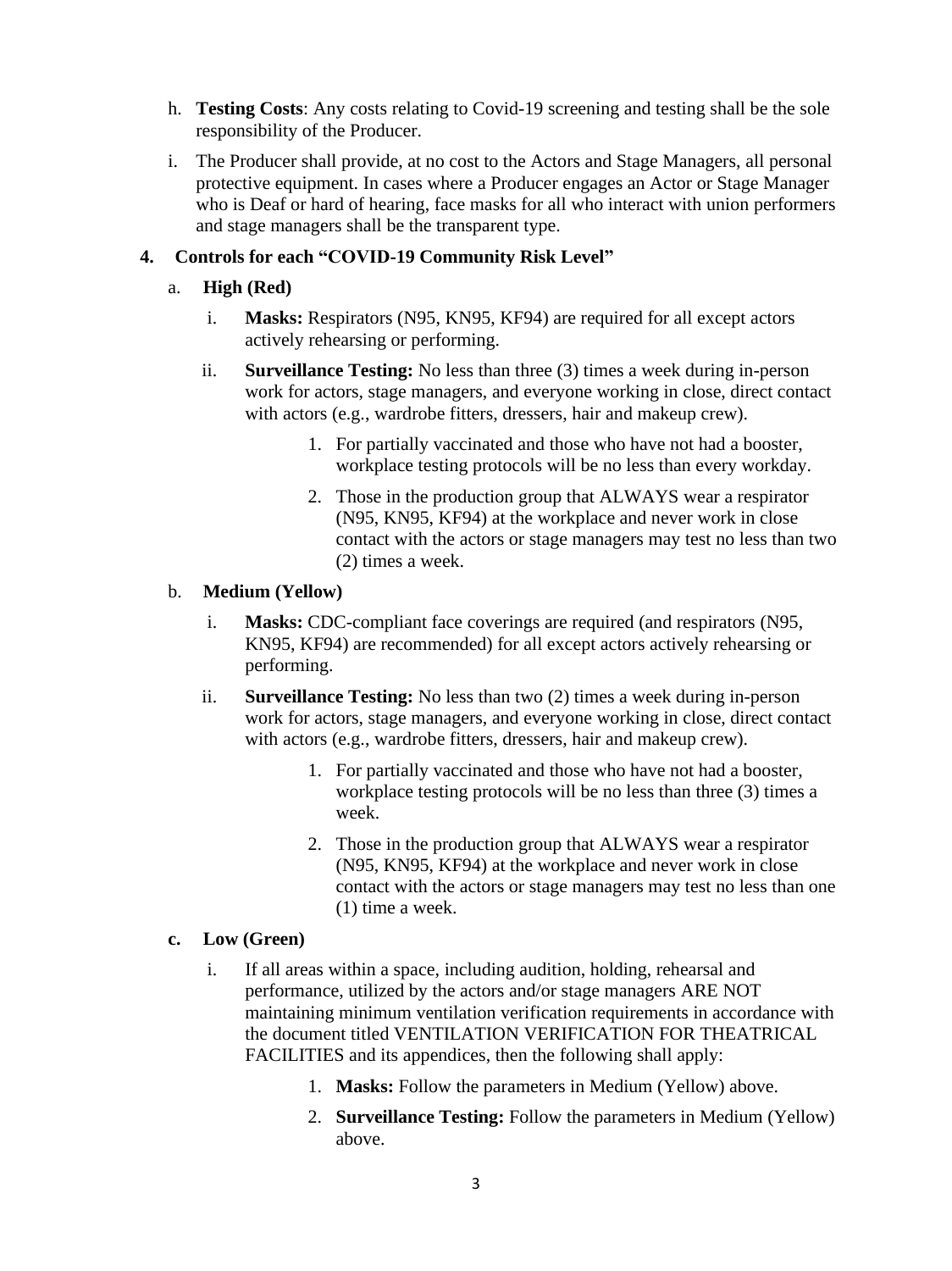- h. **Testing Costs**: Any costs relating to Covid-19 screening and testing shall be the sole responsibility of the Producer.
- i. The Producer shall provide, at no cost to the Actors and Stage Managers, all personal protective equipment. In cases where a Producer engages an Actor or Stage Manager who is Deaf or hard of hearing, face masks for all who interact with union performers and stage managers shall be the transparent type.

## **4. Controls for each "COVID-19 Community Risk Level"**

- a. **High (Red)**
	- i. **Masks:** Respirators (N95, KN95, KF94) are required for all except actors actively rehearsing or performing.
	- ii. **Surveillance Testing:** No less than three (3) times a week during in-person work for actors, stage managers, and everyone working in close, direct contact with actors (e.g., wardrobe fitters, dressers, hair and makeup crew).
		- 1. For partially vaccinated and those who have not had a booster, workplace testing protocols will be no less than every workday.
		- 2. Those in the production group that ALWAYS wear a respirator (N95, KN95, KF94) at the workplace and never work in close contact with the actors or stage managers may test no less than two (2) times a week.

#### b. **Medium (Yellow)**

- i. **Masks:** CDC-compliant face coverings are required (and respirators (N95, KN95, KF94) are recommended) for all except actors actively rehearsing or performing.
- ii. **Surveillance Testing:** No less than two (2) times a week during in-person work for actors, stage managers, and everyone working in close, direct contact with actors (e.g., wardrobe fitters, dressers, hair and makeup crew).
	- 1. For partially vaccinated and those who have not had a booster, workplace testing protocols will be no less than three (3) times a week.
	- 2. Those in the production group that ALWAYS wear a respirator (N95, KN95, KF94) at the workplace and never work in close contact with the actors or stage managers may test no less than one (1) time a week.

## **c. Low (Green)**

- i. If all areas within a space, including audition, holding, rehearsal and performance, utilized by the actors and/or stage managers ARE NOT maintaining minimum ventilation verification requirements in accordance with the document titled VENTILATION VERIFICATION FOR THEATRICAL FACILITIES and its appendices, then the following shall apply:
	- 1. **Masks:** Follow the parameters in Medium (Yellow) above.
	- 2. **Surveillance Testing:** Follow the parameters in Medium (Yellow) above.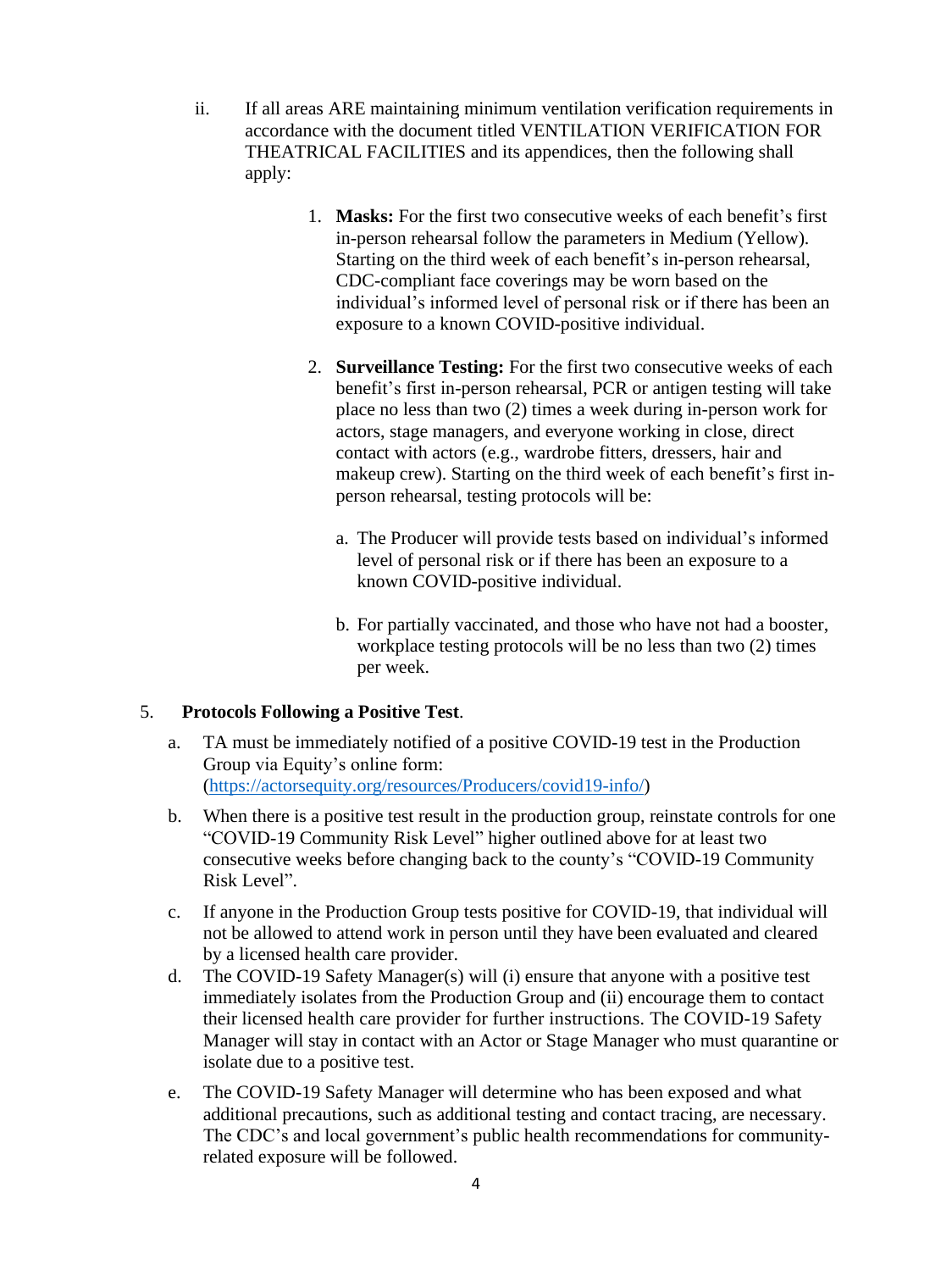- ii. If all areas ARE maintaining minimum ventilation verification requirements in accordance with the document titled VENTILATION VERIFICATION FOR THEATRICAL FACILITIES and its appendices, then the following shall apply:
	- 1. **Masks:** For the first two consecutive weeks of each benefit's first in-person rehearsal follow the parameters in Medium (Yellow). Starting on the third week of each benefit's in-person rehearsal, CDC-compliant face coverings may be worn based on the individual's informed level of personal risk or if there has been an exposure to a known COVID-positive individual.
	- 2. **Surveillance Testing:** For the first two consecutive weeks of each benefit's first in-person rehearsal, PCR or antigen testing will take place no less than two (2) times a week during in-person work for actors, stage managers, and everyone working in close, direct contact with actors (e.g., wardrobe fitters, dressers, hair and makeup crew). Starting on the third week of each benefit's first inperson rehearsal, testing protocols will be:
		- a. The Producer will provide tests based on individual's informed level of personal risk or if there has been an exposure to a known COVID-positive individual.
		- b. For partially vaccinated, and those who have not had a booster, workplace testing protocols will be no less than two (2) times per week.

# 5. **Protocols Following a Positive Test**.

- a. TA must be immediately notified of a positive COVID-19 test in the Production Group via Equity's online form: [\(https://actorsequity.org/resources/Producers/covid19-info/\)](https://actorsequity.org/resources/Producers/covid19-info/)
- b. When there is a positive test result in the production group, reinstate controls for one "COVID-19 Community Risk Level" higher outlined above for at least two consecutive weeks before changing back to the county's "COVID-19 Community Risk Level".
- c. If anyone in the Production Group tests positive for COVID-19, that individual will not be allowed to attend work in person until they have been evaluated and cleared by a licensed health care provider.
- d. The COVID-19 Safety Manager(s) will (i) ensure that anyone with a positive test immediately isolates from the Production Group and (ii) encourage them to contact their licensed health care provider for further instructions. The COVID-19 Safety Manager will stay in contact with an Actor or Stage Manager who must quarantine or isolate due to a positive test.
- e. The COVID-19 Safety Manager will determine who has been exposed and what additional precautions, such as additional testing and contact tracing, are necessary. The CDC's and local government's public health recommendations for communityrelated exposure will be followed.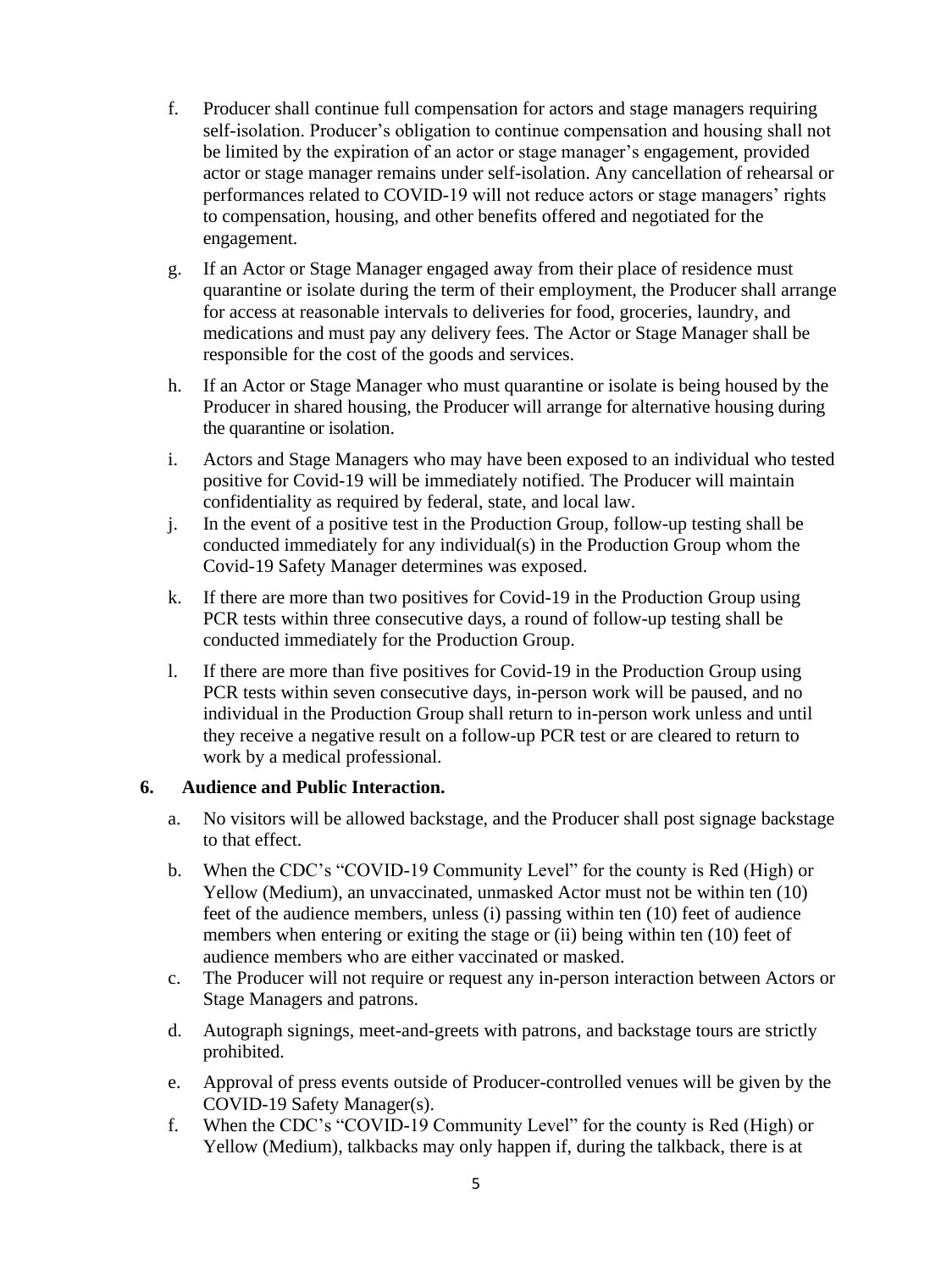- f. Producer shall continue full compensation for actors and stage managers requiring self-isolation. Producer's obligation to continue compensation and housing shall not be limited by the expiration of an actor or stage manager's engagement, provided actor or stage manager remains under self-isolation. Any cancellation of rehearsal or performances related to COVID-19 will not reduce actors or stage managers' rights to compensation, housing, and other benefits offered and negotiated for the engagement.
- g. If an Actor or Stage Manager engaged away from their place of residence must quarantine or isolate during the term of their employment, the Producer shall arrange for access at reasonable intervals to deliveries for food, groceries, laundry, and medications and must pay any delivery fees. The Actor or Stage Manager shall be responsible for the cost of the goods and services.
- h. If an Actor or Stage Manager who must quarantine or isolate is being housed by the Producer in shared housing, the Producer will arrange for alternative housing during the quarantine or isolation.
- i. Actors and Stage Managers who may have been exposed to an individual who tested positive for Covid-19 will be immediately notified. The Producer will maintain confidentiality as required by federal, state, and local law.
- j. In the event of a positive test in the Production Group, follow-up testing shall be conducted immediately for any individual(s) in the Production Group whom the Covid-19 Safety Manager determines was exposed.
- k. If there are more than two positives for Covid-19 in the Production Group using PCR tests within three consecutive days, a round of follow-up testing shall be conducted immediately for the Production Group.
- l. If there are more than five positives for Covid-19 in the Production Group using PCR tests within seven consecutive days, in-person work will be paused, and no individual in the Production Group shall return to in-person work unless and until they receive a negative result on a follow-up PCR test or are cleared to return to work by a medical professional.

# **6. Audience and Public Interaction.**

- a. No visitors will be allowed backstage, and the Producer shall post signage backstage to that effect.
- b. When the CDC's "COVID-19 Community Level" for the county is Red (High) or Yellow (Medium), an unvaccinated, unmasked Actor must not be within ten (10) feet of the audience members, unless (i) passing within ten (10) feet of audience members when entering or exiting the stage or (ii) being within ten (10) feet of audience members who are either vaccinated or masked.
- c. The Producer will not require or request any in-person interaction between Actors or Stage Managers and patrons.
- d. Autograph signings, meet-and-greets with patrons, and backstage tours are strictly prohibited.
- e. Approval of press events outside of Producer-controlled venues will be given by the COVID-19 Safety Manager(s).
- f. When the CDC's "COVID-19 Community Level" for the county is Red (High) or Yellow (Medium), talkbacks may only happen if, during the talkback, there is at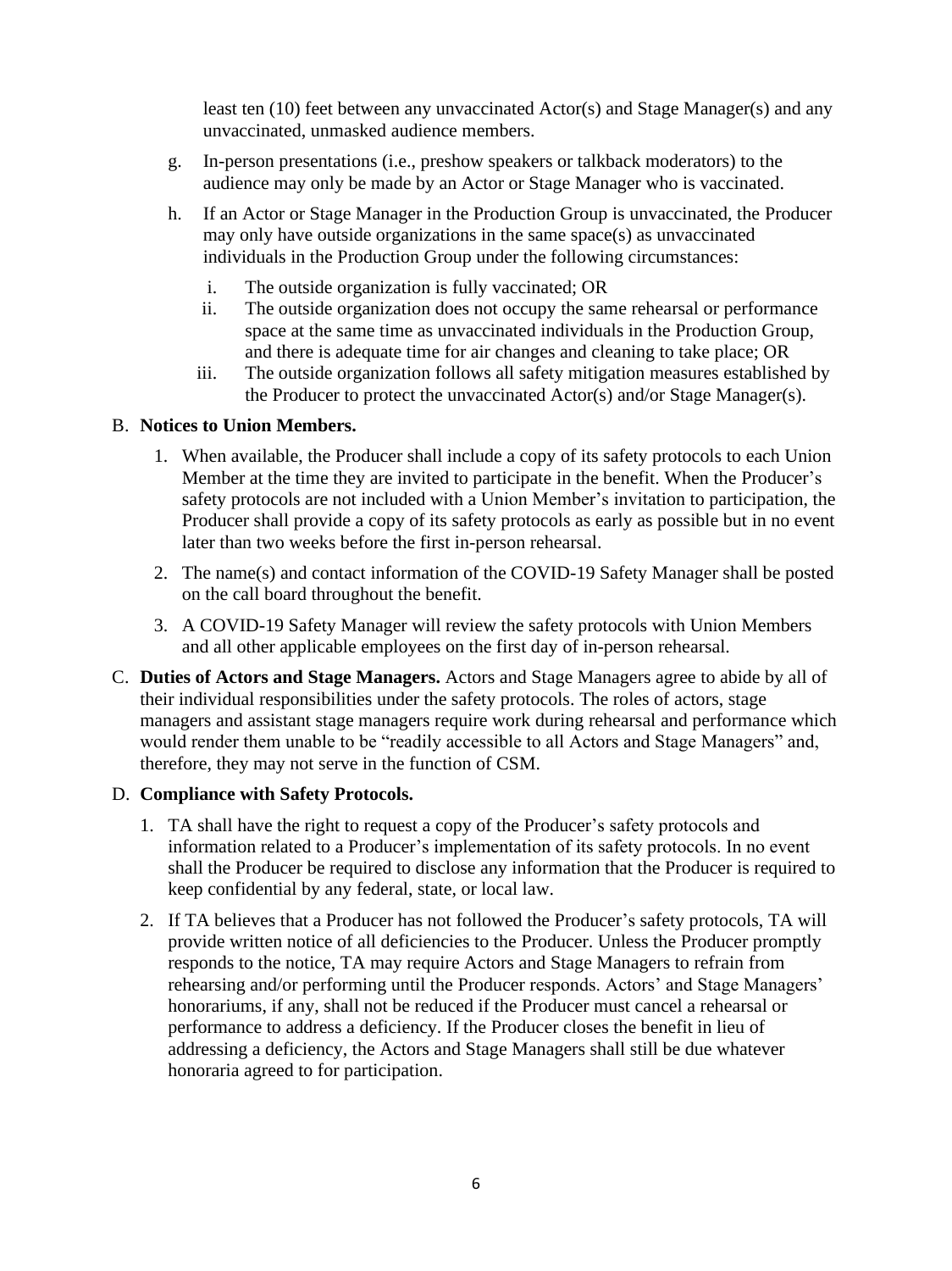least ten (10) feet between any unvaccinated Actor(s) and Stage Manager(s) and any unvaccinated, unmasked audience members.

- g. In-person presentations (i.e., preshow speakers or talkback moderators) to the audience may only be made by an Actor or Stage Manager who is vaccinated.
- h. If an Actor or Stage Manager in the Production Group is unvaccinated, the Producer may only have outside organizations in the same space(s) as unvaccinated individuals in the Production Group under the following circumstances:
	- i. The outside organization is fully vaccinated; OR
	- ii. The outside organization does not occupy the same rehearsal or performance space at the same time as unvaccinated individuals in the Production Group, and there is adequate time for air changes and cleaning to take place; OR
	- iii. The outside organization follows all safety mitigation measures established by the Producer to protect the unvaccinated Actor(s) and/or Stage Manager(s).

#### B. **Notices to Union Members.**

- 1. When available, the Producer shall include a copy of its safety protocols to each Union Member at the time they are invited to participate in the benefit. When the Producer's safety protocols are not included with a Union Member's invitation to participation, the Producer shall provide a copy of its safety protocols as early as possible but in no event later than two weeks before the first in-person rehearsal.
- 2. The name(s) and contact information of the COVID-19 Safety Manager shall be posted on the call board throughout the benefit.
- 3. A COVID-19 Safety Manager will review the safety protocols with Union Members and all other applicable employees on the first day of in-person rehearsal.
- C. **Duties of Actors and Stage Managers.** Actors and Stage Managers agree to abide by all of their individual responsibilities under the safety protocols. The roles of actors, stage managers and assistant stage managers require work during rehearsal and performance which would render them unable to be "readily accessible to all Actors and Stage Managers" and, therefore, they may not serve in the function of CSM.

#### D. **Compliance with Safety Protocols.**

- 1. TA shall have the right to request a copy of the Producer's safety protocols and information related to a Producer's implementation of its safety protocols. In no event shall the Producer be required to disclose any information that the Producer is required to keep confidential by any federal, state, or local law.
- 2. If TA believes that a Producer has not followed the Producer's safety protocols, TA will provide written notice of all deficiencies to the Producer. Unless the Producer promptly responds to the notice, TA may require Actors and Stage Managers to refrain from rehearsing and/or performing until the Producer responds. Actors' and Stage Managers' honorariums, if any, shall not be reduced if the Producer must cancel a rehearsal or performance to address a deficiency. If the Producer closes the benefit in lieu of addressing a deficiency, the Actors and Stage Managers shall still be due whatever honoraria agreed to for participation.